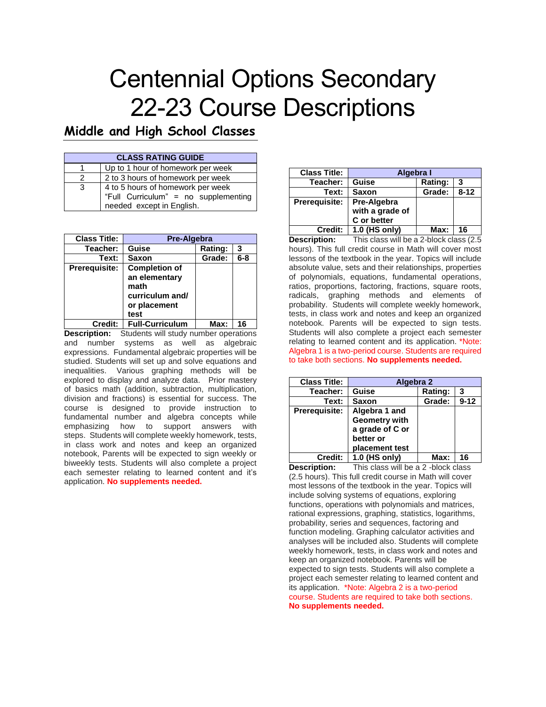# Centennial Options Secondary 22-23 Course Descriptions

## **Middle and High School Classes**

| <b>CLASS RATING GUIDE</b> |                                                                                                        |  |
|---------------------------|--------------------------------------------------------------------------------------------------------|--|
|                           | Up to 1 hour of homework per week                                                                      |  |
|                           | 2 to 3 hours of homework per week                                                                      |  |
| -3                        | 4 to 5 hours of homework per week<br>"Full Curriculum" = no supplementing<br>needed except in English. |  |

| <b>Class Title:</b>  | Pre-Algebra                                                                              |         |         |
|----------------------|------------------------------------------------------------------------------------------|---------|---------|
| Teacher:             | Guise                                                                                    | Rating: | 3       |
| Text:                | Saxon                                                                                    | Grade:  | $6 - 8$ |
| <b>Prerequisite:</b> | <b>Completion of</b><br>an elementary<br>math<br>curriculum and/<br>or placement<br>test |         |         |
| Credit:              | <b>Full-Curriculum</b>                                                                   | Max:    | 16      |

**Description:** Students will study number operations and number systems as well as algebraic expressions. Fundamental algebraic properties will be studied. Students will set up and solve equations and inequalities. Various graphing methods will be explored to display and analyze data. Prior mastery of basics math (addition, subtraction, multiplication, division and fractions) is essential for success. The course is designed to provide instruction to fundamental number and algebra concepts while emphasizing how to support answers with steps. Students will complete weekly homework, tests, in class work and notes and keep an organized notebook, Parents will be expected to sign weekly or biweekly tests. Students will also complete a project each semester relating to learned content and it's application. **No supplements needed.**

| <b>Class Title:</b>  | Algebra I                                     |                |          |
|----------------------|-----------------------------------------------|----------------|----------|
| Teacher:             | Guise                                         | <b>Rating:</b> | 3        |
| Text:                | <b>Saxon</b>                                  | Grade:         | $8 - 12$ |
| <b>Prerequisite:</b> | Pre-Algebra<br>with a grade of<br>C or better |                |          |
| <b>Credit:</b>       | 1.0 (HS only)                                 | Max:           | 16       |

**Description:** This class will be a 2-block class (2.5 hours). This full credit course in Math will cover most lessons of the textbook in the year. Topics will include absolute value, sets and their relationships, properties of polynomials, equations, fundamental operations, ratios, proportions, factoring, fractions, square roots, radicals, graphing methods and elements of probability. Students will complete weekly homework, tests, in class work and notes and keep an organized notebook. Parents will be expected to sign tests. Students will also complete a project each semester relating to learned content and its application. \*Note: Algebra 1 is a two-period course. Students are required to take both sections. **No supplements needed.**

| <b>Class Title:</b>  | Algebra 2                                                                               |         |          |
|----------------------|-----------------------------------------------------------------------------------------|---------|----------|
| Teacher:             | Guise                                                                                   | Rating: | 3        |
| Text:                | <b>Saxon</b>                                                                            | Grade:  | $9 - 12$ |
| <b>Prerequisite:</b> | Algebra 1 and<br><b>Geometry with</b><br>a grade of C or<br>better or<br>placement test |         |          |
| Credit:              | 1.0 (HS only)                                                                           | Max:    | 16       |

**Description:** This class will be a 2-block class (2.5 hours). This full credit course in Math will cover most lessons of the textbook in the year. Topics will include solving systems of equations, exploring functions, operations with polynomials and matrices, rational expressions, graphing, statistics, logarithms, probability, series and sequences, factoring and function modeling. Graphing calculator activities and analyses will be included also. Students will complete weekly homework, tests, in class work and notes and keep an organized notebook. Parents will be expected to sign tests. Students will also complete a project each semester relating to learned content and its application. \*Note: Algebra 2 is a two-period course. Students are required to take both sections. **No supplements needed.**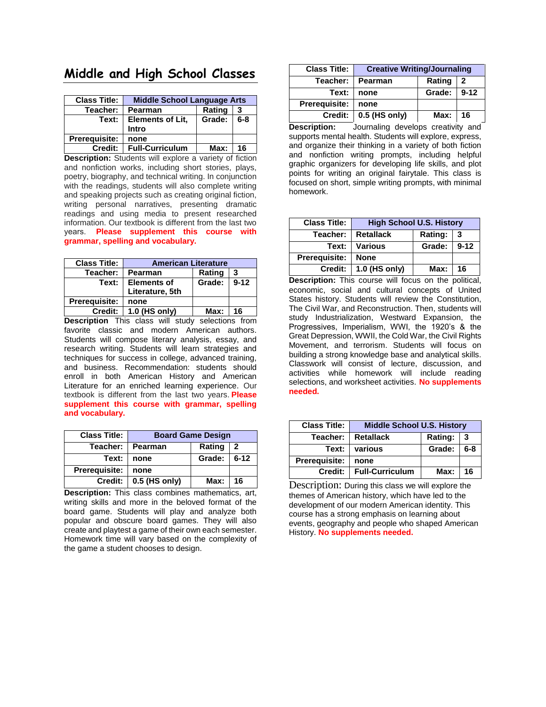#### **Middle and High School Classes**

| <b>Class Title:</b>  | <b>Middle School Language Arts</b> |        |         |
|----------------------|------------------------------------|--------|---------|
| Teacher:             | Pearman                            | Rating | 3       |
| Text:                | <b>Elements of Lit.</b><br>Intro   | Grade: | $6 - 8$ |
| <b>Prerequisite:</b> | none                               |        |         |
| Credit:              | <b>Full-Curriculum</b>             | Max:   | 16      |

**Description:** Students will explore a variety of fiction and nonfiction works, including short stories, plays, poetry, biography, and technical writing. In conjunction with the readings, students will also complete writing and speaking projects such as creating original fiction, writing personal narratives, presenting dramatic readings and using media to present researched information. Our textbook is different from the last two years.  **Please supplement this course with grammar, spelling and vocabulary.**

| <b>Class Title:</b>  | <b>American Literature</b> |               |    |
|----------------------|----------------------------|---------------|----|
| Teacher:             | Pearman                    | Rating        | 3  |
| Text:                | <b>Elements of</b>         | Grade:   9-12 |    |
|                      | Literature, 5th            |               |    |
| <b>Prerequisite:</b> | none                       |               |    |
| Credit:              | 1.0 (HS only)              | Max:          | 16 |

**Description** This class will study selections from favorite classic and modern American authors. Students will compose literary analysis, essay, and research writing. Students will learn strategies and techniques for success in college, advanced training, and business. Recommendation: students should enroll in both American History and American Literature for an enriched learning experience. Our textbook is different from the last two years. **Please supplement this course with grammar, spelling and vocabulary.**

| <b>Class Title:</b>  | <b>Board Game Design</b> |        |                |
|----------------------|--------------------------|--------|----------------|
| Teacher: <b>_</b>    | Pearman                  | Rating | $\overline{2}$ |
| Text:                | none                     | Grade: | $6 - 12$       |
| <b>Prerequisite:</b> | none                     |        |                |
| Credit: I            | 0.5 (HS only)            | Max:   | 16             |

**Description:** This class combines mathematics, art, writing skills and more in the beloved format of the board game. Students will play and analyze both popular and obscure board games. They will also create and playtest a game of their own each semester. Homework time will vary based on the complexity of the game a student chooses to design.

| <b>Creative Writing/Journaling</b> |        |          |
|------------------------------------|--------|----------|
| Pearman                            | Rating | 2        |
| none                               | Grade: | $9 - 12$ |
| none                               |        |          |
| 0.5 (HS only)                      |        |          |
|                                    |        | Max: 16  |

**Description:** Journaling develops creativity and supports mental health. Students will explore, express, and organize their thinking in a variety of both fiction and nonfiction writing prompts, including helpful graphic organizers for developing life skills, and plot points for writing an original fairytale. This class is focused on short, simple writing prompts, with minimal homework.

| <b>Class Title:</b>  | <b>High School U.S. History</b>          |        |          |
|----------------------|------------------------------------------|--------|----------|
| Teacher:             | <b>Rating:</b><br><b>Retallack</b><br>-3 |        |          |
|                      | <b>Text: Various</b>                     | Grade: | $9 - 12$ |
| <b>Prerequisite:</b> | <b>None</b>                              |        |          |
|                      | Credit:   1.0 (HS only)                  | Max: I | 16       |

**Description:** This course will focus on the political, economic, social and cultural concepts of United States history. Students will review the Constitution, The Civil War, and Reconstruction. Then, students will study Industrialization, Westward Expansion, the Progressives, Imperialism, WWI, the 1920's & the Great Depression, WWII, the Cold War, the Civil Rights Movement, and terrorism. Students will focus on building a strong knowledge base and analytical skills. Classwork will consist of lecture, discussion, and activities while homework will include reading selections, and worksheet activities. **No supplements needed.**

| <b>Class Title:</b>  | <b>Middle School U.S. History</b> |         |     |
|----------------------|-----------------------------------|---------|-----|
| Teacher:             | <b>Retallack</b>                  | Rating: | -3  |
| Text:                | various                           | Grade:  | 6-8 |
| <b>Prerequisite:</b> | none                              |         |     |
| Credit:              | <b>Full-Curriculum</b>            | Max:    | 16  |

Description: During this class we will explore the themes of American history, which have led to the development of our modern American identity. This course has a strong emphasis on learning about events, geography and people who shaped American History. **No supplements needed.**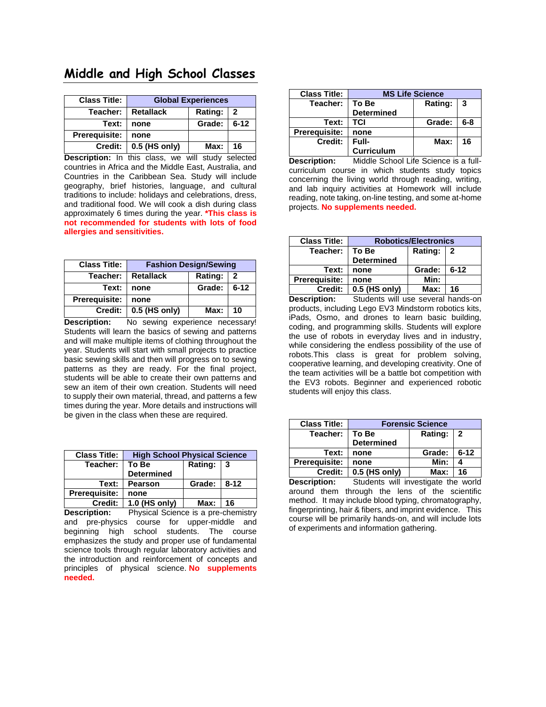#### **Middle and High School Classes**

| <b>Class Title:</b>  | <b>Global Experiences</b> |                |                |
|----------------------|---------------------------|----------------|----------------|
| Teacher:             | <b>Retallack</b>          | <b>Rating:</b> | $\overline{2}$ |
| Text:                | none                      | Grade:         | $6 - 12$       |
| <b>Prerequisite:</b> | none                      |                |                |
| Credit:              | 0.5 (HS only)             | Max:           | 16             |

**Description:** In this class, we will study selected countries in Africa and the Middle East, Australia, and Countries in the Caribbean Sea. Study will include geography, brief histories, language, and cultural traditions to include: holidays and celebrations, dress, and traditional food. We will cook a dish during class approximately 6 times during the year. **\*This class is not recommended for students with lots of food allergies and sensitivities.**

| <b>Class Title:</b>  | <b>Fashion Design/Sewing</b>                |        |          |
|----------------------|---------------------------------------------|--------|----------|
| Teacher:             | Rating:<br><b>Retallack</b><br>$\mathbf{2}$ |        |          |
| Text:                | none                                        | Grade: | $6 - 12$ |
| <b>Prerequisite:</b> | none                                        |        |          |
| Credit: I            | 0.5 (HS only)                               | Max:   | 10       |

**Description:** No sewing experience necessary! Students will learn the basics of sewing and patterns and will make multiple items of clothing throughout the year. Students will start with small projects to practice basic sewing skills and then will progress on to sewing patterns as they are ready. For the final project, students will be able to create their own patterns and sew an item of their own creation. Students will need to supply their own material, thread, and patterns a few times during the year. More details and instructions will be given in the class when these are required.

| <b>Class Title:</b> | <b>High School Physical Science</b> |        |          |
|---------------------|-------------------------------------|--------|----------|
| Teacher:            | Rating: 3<br>To Be                  |        |          |
|                     | <b>Determined</b>                   |        |          |
| Text:               | <b>Pearson</b>                      | Grade: | $8 - 12$ |
| Prerequisite:       | none                                |        |          |
| Credit:             | 1.0 (HS only)                       | Max:   | 16       |

**Description:** Physical Science is a pre-chemistry and pre-physics course for upper-middle and beginning high school students. The course emphasizes the study and proper use of fundamental science tools through regular laboratory activities and the introduction and reinforcement of concepts and principles of physical science. **No supplements needed.**

| <b>Class Title:</b>  | <b>MS Life Science</b> |         |         |
|----------------------|------------------------|---------|---------|
| Teacher:             | To Be                  | Rating: | 3       |
|                      | <b>Determined</b>      |         |         |
| Text:                | <b>TCI</b>             | Grade:  | $6 - 8$ |
| <b>Prerequisite:</b> | none                   |         |         |
| Credit:              | Full-                  | Max:    | 16      |
|                      | <b>Curriculum</b>      |         |         |

**Description:** Middle School Life Science is a fullcurriculum course in which students study topics concerning the living world through reading, writing, and lab inquiry activities at Homework will include reading, note taking, on-line testing, and some at-home projects. **No supplements needed.**

| <b>Class Title:</b> | <b>Robotics/Electronics</b> |         |          |
|---------------------|-----------------------------|---------|----------|
| Teacher:            | To Be                       | Rating: | -2       |
|                     | <b>Determined</b>           |         |          |
| Text:               | none                        | Grade:  | $6 - 12$ |
| Prerequisite:       | none                        | Min:    |          |
| <b>Credit:</b>      | 0.5 (HS only)               | Max:    | 16       |

**Description:** Students will use several hands-on products, including Lego EV3 Mindstorm robotics kits, iPads, Osmo, and drones to learn basic building, coding, and programming skills. Students will explore the use of robots in everyday lives and in industry, while considering the endless possibility of the use of robots.This class is great for problem solving, cooperative learning, and developing creativity. One of the team activities will be a battle bot competition with the EV3 robots. Beginner and experienced robotic students will enjoy this class.

| <b>Class Title:</b>  | <b>Forensic Science</b> |             |          |
|----------------------|-------------------------|-------------|----------|
| Teacher:             | To Be                   | Rating:   2 |          |
|                      | <b>Determined</b>       |             |          |
| Text:                | none                    | Grade:      | $6 - 12$ |
| <b>Prerequisite:</b> | none                    | Min:        |          |
| Credit:              | $0.5$ (HS only)         | Max:        | 16       |

**Description:** Students will investigate the world around them through the lens of the scientific method. It may include blood typing, chromatography, fingerprinting, hair & fibers, and imprint evidence. This course will be primarily hands-on, and will include lots of experiments and information gathering.